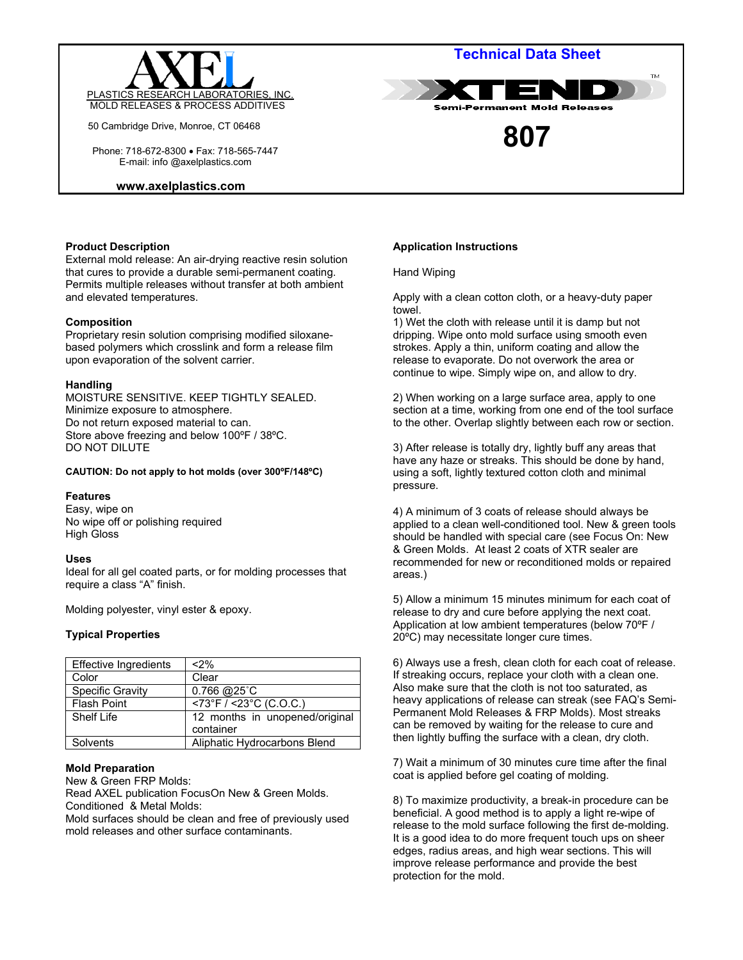

50 Cambridge Drive, Monroe, CT 06468

 Phone: 718-672-8300 • Fax: 718-565-7447 E-mail: info @axelplastics.com

#### **www.axelplastics.com**

# **Technical Data Sheet**



**807** 

## **Product Description**

External mold release: An air-drying reactive resin solution that cures to provide a durable semi-permanent coating. Permits multiple releases without transfer at both ambient and elevated temperatures.

## **Composition**

Proprietary resin solution comprising modified siloxanebased polymers which crosslink and form a release film upon evaporation of the solvent carrier.

## **Handling**

MOISTURE SENSITIVE. KEEP TIGHTLY SEALED. Minimize exposure to atmosphere. Do not return exposed material to can. Store above freezing and below 100ºF / 38ºC. DO NOT DILUTE

#### **CAUTION: Do not apply to hot molds (over 300ºF/148ºC)**

## **Features**

Easy, wipe on No wipe off or polishing required High Gloss

## **Uses**

Ideal for all gel coated parts, or for molding processes that require a class "A" finish.

Molding polyester, vinyl ester & epoxy.

## **Typical Properties**

| <b>Effective Ingredients</b> | $2\%$                                       |
|------------------------------|---------------------------------------------|
| Color                        | Clear                                       |
| Specific Gravity             | $0.766$ @ $25^{\circ}$ C                    |
| <b>Flash Point</b>           | $\sqrt{573^\circ F}$ / <23°C (C.O.C.)       |
| Shelf Life                   | 12 months in unopened/original<br>container |
| Solvents                     | Aliphatic Hydrocarbons Blend                |

## **Mold Preparation**

New & Green FRP Molds: Read AXEL publication FocusOn New & Green Molds. Conditioned & Metal Molds:

Mold surfaces should be clean and free of previously used mold releases and other surface contaminants.

# **Application Instructions**

#### Hand Wiping

Apply with a clean cotton cloth, or a heavy-duty paper towel.

1) Wet the cloth with release until it is damp but not dripping. Wipe onto mold surface using smooth even strokes. Apply a thin, uniform coating and allow the release to evaporate. Do not overwork the area or continue to wipe. Simply wipe on, and allow to dry.

2) When working on a large surface area, apply to one section at a time, working from one end of the tool surface to the other. Overlap slightly between each row or section.

3) After release is totally dry, lightly buff any areas that have any haze or streaks. This should be done by hand, using a soft, lightly textured cotton cloth and minimal pressure.

4) A minimum of 3 coats of release should always be applied to a clean well-conditioned tool. New & green tools should be handled with special care (see Focus On: New & Green Molds. At least 2 coats of XTR sealer are recommended for new or reconditioned molds or repaired areas.)

5) Allow a minimum 15 minutes minimum for each coat of release to dry and cure before applying the next coat. Application at low ambient temperatures (below 70ºF / 20ºC) may necessitate longer cure times.

6) Always use a fresh, clean cloth for each coat of release. If streaking occurs, replace your cloth with a clean one. Also make sure that the cloth is not too saturated, as heavy applications of release can streak (see FAQ's Semi-Permanent Mold Releases & FRP Molds). Most streaks can be removed by waiting for the release to cure and then lightly buffing the surface with a clean, dry cloth.

7) Wait a minimum of 30 minutes cure time after the final coat is applied before gel coating of molding.

8) To maximize productivity, a break-in procedure can be beneficial. A good method is to apply a light re-wipe of release to the mold surface following the first de-molding. It is a good idea to do more frequent touch ups on sheer edges, radius areas, and high wear sections. This will improve release performance and provide the best protection for the mold.